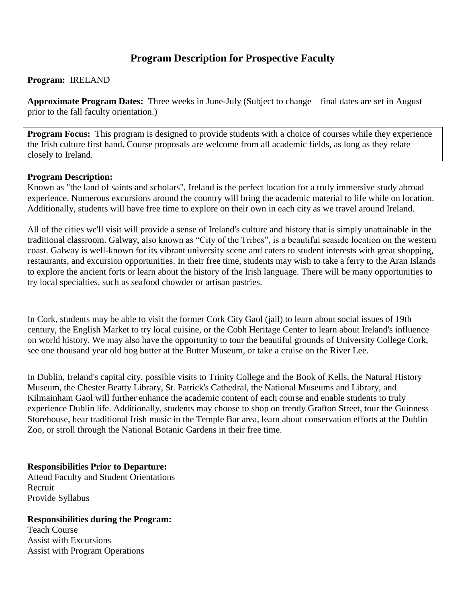# **Program Description for Prospective Faculty**

#### **Program:** IRELAND

**Approximate Program Dates:** Three weeks in June-July (Subject to change – final dates are set in August prior to the fall faculty orientation.)

**Program Focus:** This program is designed to provide students with a choice of courses while they experience the Irish culture first hand. Course proposals are welcome from all academic fields, as long as they relate closely to Ireland.

### **Program Description:**

Known as "the land of saints and scholars", Ireland is the perfect location for a truly immersive study abroad experience. Numerous excursions around the country will bring the academic material to life while on location. Additionally, students will have free time to explore on their own in each city as we travel around Ireland.

All of the cities we'll visit will provide a sense of Ireland's culture and history that is simply unattainable in the traditional classroom. Galway, also known as "City of the Tribes", is a beautiful seaside location on the western coast. Galway is well-known for its vibrant university scene and caters to student interests with great shopping, restaurants, and excursion opportunities. In their free time, students may wish to take a ferry to the Aran Islands to explore the ancient forts or learn about the history of the Irish language. There will be many opportunities to try local specialties, such as seafood chowder or artisan pastries.

In Cork, students may be able to visit the former Cork City Gaol (jail) to learn about social issues of 19th century, the English Market to try local cuisine, or the Cobh Heritage Center to learn about Ireland's influence on world history. We may also have the opportunity to tour the beautiful grounds of University College Cork, see one thousand year old bog butter at the Butter Museum, or take a cruise on the River Lee.

In Dublin, Ireland's capital city, possible visits to Trinity College and the Book of Kells, the Natural History Museum, the Chester Beatty Library, St. Patrick's Cathedral, the National Museums and Library, and Kilmainham Gaol will further enhance the academic content of each course and enable students to truly experience Dublin life. Additionally, students may choose to shop on trendy Grafton Street, tour the Guinness Storehouse, hear traditional Irish music in the Temple Bar area, learn about conservation efforts at the Dublin Zoo, or stroll through the National Botanic Gardens in their free time.

# **Responsibilities Prior to Departure:**

Attend Faculty and Student Orientations Recruit Provide Syllabus

#### **Responsibilities during the Program:**

Teach Course Assist with Excursions Assist with Program Operations